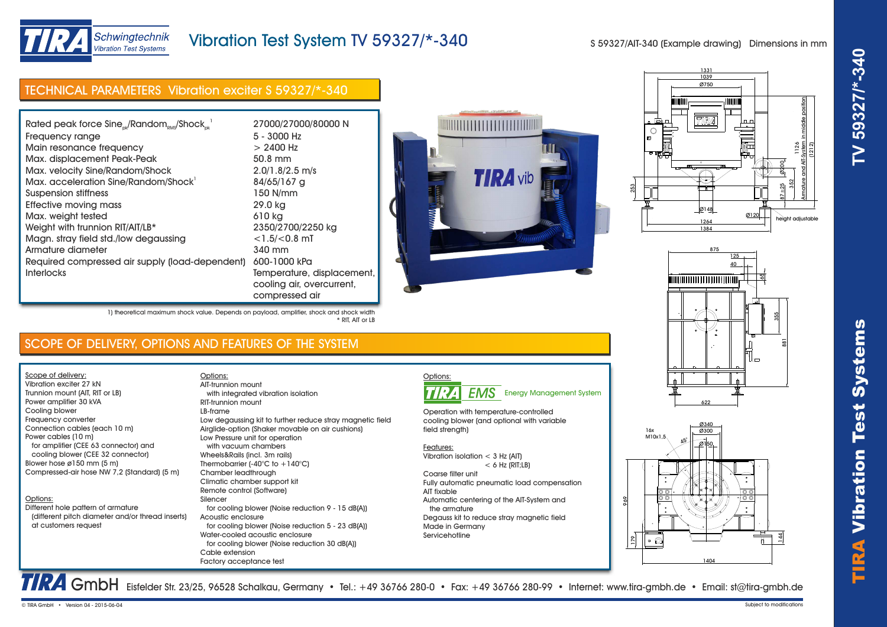

height adjustable

1126 Armature and AIT-System in middle position (1212)

 $87 + 25$ 352 ø200

# TIRA Vibr ation Test Systems **TV 59327/\*-340**

at customers request

Scope of delivery: Vibration exciter 27 kN Trunnion mount (AIT, RIT or LB) Power amplifier 30 kVA Cooling blower Frequency converter

Power cables (10 m)

Options:

Connection cables (each 10 m)

Different hole pattern of armature

 for amplifier (CEE 63 connector) and cooling blower (CEE 32 connector) Blower hose ø150 mm (5 m)

Compressed-air hose NW 7,2 (Standard) (5 m)

Schwingtechnik **Vibration Test Systems** 

(different pitch diameter and/or thread inserts)

Vibration Test System TV 59327/\*-340

S 59327/AIT-340 (Example drawing) Dimensions in mm

1039 1331 Ø750

TIRA

┯

Ø148 <u>1264</u><br>1384

| Rated peak force Sine <sub>nk</sub> /Random <sub>RMS</sub> /Shock <sub>nk</sub> <sup>1</sup> | 27000/27000/80000 N        |                 |
|----------------------------------------------------------------------------------------------|----------------------------|-----------------|
| Frequency range                                                                              | $5 - 3000$ Hz              |                 |
| Main resonance frequency                                                                     | $> 2400$ Hz                |                 |
| Max. displacement Peak-Peak                                                                  | 50.8 mm                    |                 |
| Max. velocity Sine/Random/Shock                                                              | $2.0/1.8/2.5$ m/s          |                 |
| Max. acceleration Sine/Random/Shock <sup>1</sup>                                             | 84/65/167 g                | <b>TIRA</b> vib |
| <b>Suspension stiffness</b>                                                                  | 150 N/mm                   |                 |
| Effective moving mass                                                                        | 29.0 kg                    |                 |
| Max. weight tested                                                                           | 610 kg                     |                 |
| Weight with trunnion RIT/AIT/LB*                                                             | 2350/2700/2250 kg          |                 |
| Magn. stray field std./low degaussing                                                        | $<$ 1.5/ $<$ 0.8 mT        |                 |
| Armature diameter                                                                            | 340 mm                     |                 |
| Required compressed air supply (load-dependent)                                              | 600-1000 kPa               |                 |
| <b>Interlocks</b>                                                                            | Temperature, displacement, |                 |
|                                                                                              | cooling air, overcurrent,  |                 |

\* RIT, AIT or LB

compressed air

Low degaussing kit to further reduce stray magnetic field Airglide-option (Shaker movable on air cushions)

for cooling blower (Noise reduction 9 - 15 dB(A))

for cooling blower (Noise reduction 5 - 23 dB(A))

for cooling blower (Noise reduction 30 dB(A))

1) theoretical maximum shock value. Depends on payload, amplifier, shock and shock width

with integrated vibration isolation

Low Pressure unit for operation with vacuum chambers Wheels&Rails (incl. 3m rails) Thermobarrier (-40°C to +140°C) Chamber leadthrough Climatic chamber support kit Remote control (Software)

Water-cooled acoustic enclosure



Ø120

ħ

# $Q3340$ 16x  $Q300$  $M10x1,5$ Ø150 45° 969  $\frac{4}{4}$  $\bullet$   $\circ$  $\frac{8}{2}$ 1404

GmbH Eisfelder Str. 23/25, 96528 Schalkau, Germany • Tel.: +49 36766 280-0 • Fax: +49 36766 280-99 • Internet: www.tira-gmbh.de • Email: st@tira-gmbh.de

SCOPE OF DELIVERY, OPTIONS AND FEATURES OF THE SYSTEM

Options:

Silencer

Acoustic enclosure

Cable extension Factory acceptance test

RIT-trunnion mount LB-frame

AIT-trunnion mount

Options: **EMS** Energy Management System

Operation with temperature-controlled cooling blower (and optional with variable field strength)

### Features:

- Vibration isolation < 3 Hz (AIT)  $< 6$  Hz (RIT; LB) Coarse filter unit
- Fully automatic pneumatic load compensation AIT fixable Automatic centering of the AIT-System and the armature Degauss kit to reduce stray magnetic field Made in Germany Servicehotline